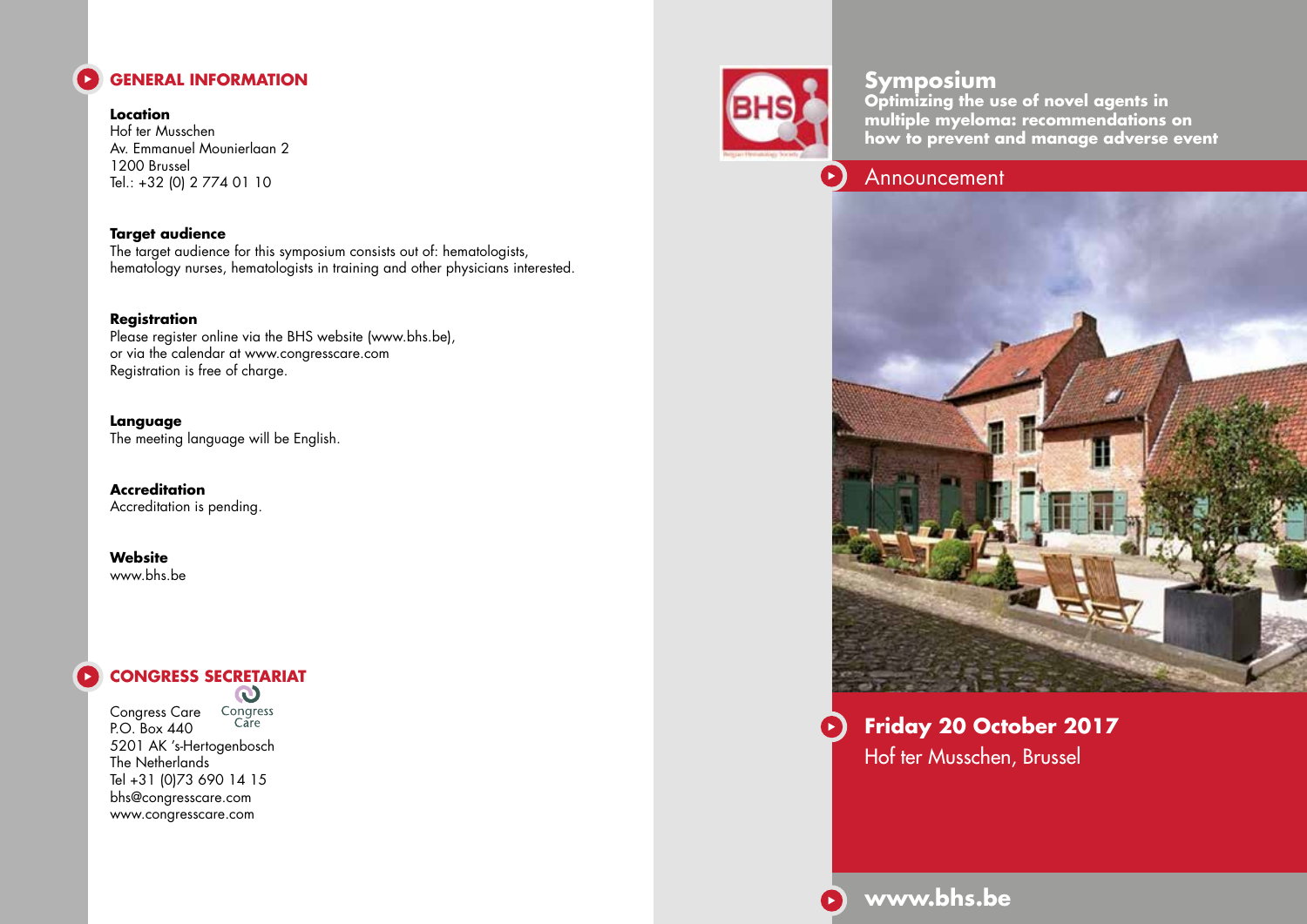

**Location** Hof ter Musschen Av. Emmanuel Mounierlaan 2 1200 Brussel Tel.: +32 (0) 2 774 01 10

**Target audience** The target audience for this symposium consists out of: hematologists, hematology nurses, hematologists in training and other physicians interested.

#### **Registration**

Please register online via the BHS website (www.bhs.be), or via the calendar at www.congresscare.com Registration is free of charge.

**Language** The meeting language will be English.

**Accreditation** Accreditation is pending.

**Website** www.bhs.be

# **CONGRESS SECRETARIAT**

Congress Care Congress<br>PO Boy 440 Care P.O. Box 440 5201 AK 's-Hertogenbosch The Netherlands Tel +31 (0)73 690 14 15 bhs@congresscare.com www.congresscare.com



## **Symposium**

**Optimizing the use of novel agents in multiple myeloma: recommendations on how to prevent and manage adverse event**

### Announcement



**Friday 20 October 2017** Hof ter Musschen, Brussel

**www.bhs.be**